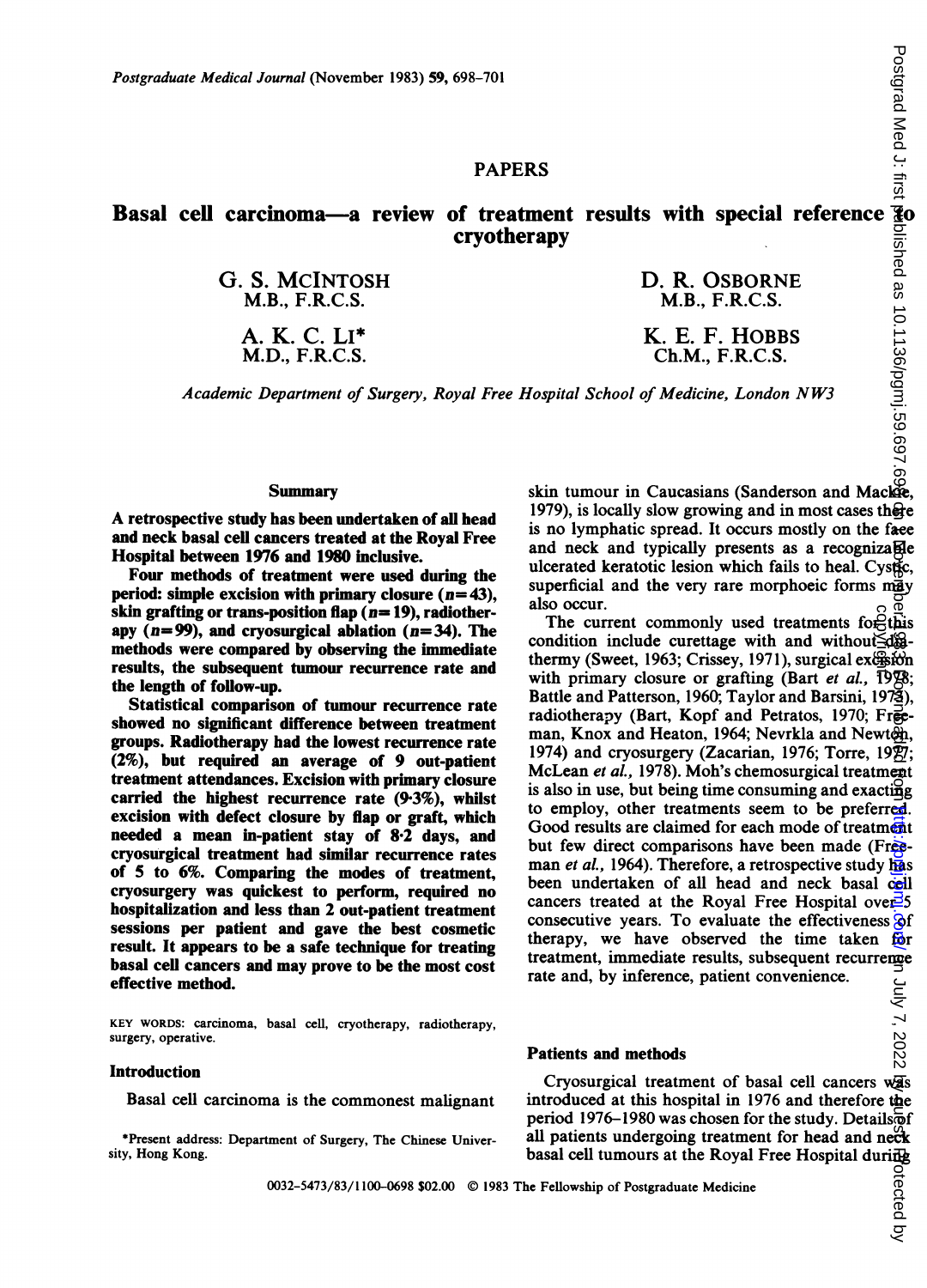# PAPERS

# Basal cell carcinoma—a review of treatment results with special reference cryotherapy

G. S. MCINTOSH M.B., F.R.C.S.

> A. K. C. LI\* M.D., F.R.C.S.

D. R. OSBORNE M.B., F.R.C.S.

K. E. F. HOBBS Ch.M., F.R.C.S.

Academic Department of Surgery, Royal Free Hospital School of Medicine, London NW3

### Summary

A retrospective study has been undertaken of all head and neck basal cell cancers treated at the Royal Free Hospital between 1976 and 1980 inclusive.

Four methods of treatment were used during the period: simple excision with primary closure  $(n=43)$ , skin grafting or trans-position flap ( $n= 19$ ), radiotherapy  $(n= 99)$ , and cryosurgical ablation  $(n= 34)$ . The methods were compared by observing the immediate results, the subsequent tumour recurrence rate and the length of follow-up.

Statistical comparison of tumour recurrence rate showed no significant difference between treatment groups. Radiotherapy had the lowest recurrence rate (2%), but required an average of 9 out-patient treatment attendances. Excision with primary closure carried the highest recurrence rate (93%), whilst excision with defect closure by flap or graft, which needed a mean in-patient stay of 8-2 days, and cryosurgical treatment had similar recurrence rates of 5 to 6%. Comparing the modes of treatment, cryosurgery was quickest to perform, required no hospitalization and less than 2 out-patient treatment sessions per patient and gave the best cosmetic result. It appears to be a safe technique for treating basal cell cancers and may prove to be the most cost effective method.

KEY WORDS: carcinoma, basal cell, cryotherapy, radiotherapy, surgery, operative.

## Introduction

Basal cell carcinoma is the commonest malignant

\*Present address: Department of Surgery, The Chinese University, Hong Kong.

skin tumour in Caucasians (Sanderson and Mackie, 1979), is locally slow growing and in most cases there is no lymphatic spread. It occurs mostly on the face and neck and typically presents as a recognizable ulcerated keratotic lesion which fails to heal. Cystic, superficial and the very rare morphoeic forms  $m\ddot{g}_V$ also occur.

The current commonly used treatments for  $\hat{H}$ this condition include curettage with and without  $\exists d\mathbf{g}$ thermy (Sweet, 1963; Crissey, 1971), surgical exc<del>ision</del> with primary closure or grafting (Bart *et al.*,  $19\%$ ; Battle and Patterson, 1960; Taylor and Barsini, 1973), radiotherapy (Bart, Kopf and Petratos, 1970; Freeman, Knox and Heaton, 1964; Nevrkla and Newton, 1974) and cryosurgery (Zacarian, 1976; Torre,  $19\overline{27}$ ; McLean et al., 1978). Moh's chemosurgical treatment is also in use, but being time consuming and exacting to employ, other treatments seem to be preferred. Good results are claimed for each mode of treatment but few direct comparisons have been made (Freeman et al., 1964). Therefore, a retrospective study has been undertaken of all head and neck basal cell cancers treated at the Royal Free Hospital over  $\frac{3}{5}$ consecutive years. To evaluate the effectiveness  $\Theta$ f therapy, we have observed the time taken for treatment, immediate results, subsequent recurrence rate and, by inference, patient convenience. copyright.

#### Patients and methods

Cryosurgical treatment of basal cell cancers was introduced at this hospital in 1976 and therefore the period 1976-1980 was chosen for the study. Details  $\delta$ f all patients undergoing treatment for head and neck basal cell tumours at the Royal Free Hospital during

0032-5473/83/1100-0698 \$02.00 © 1983 The Fellowship of Postgraduate Medicine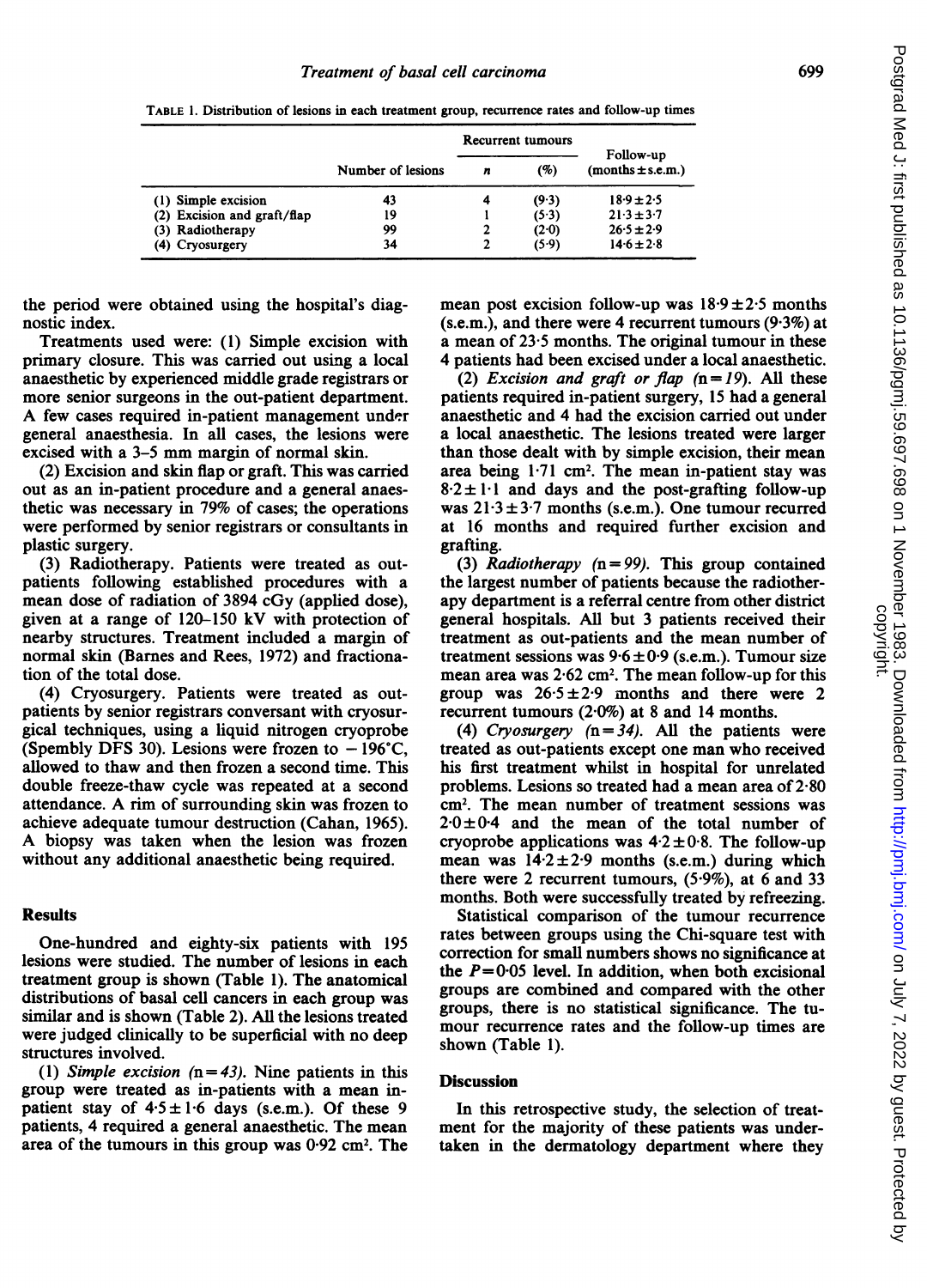Recurrent tumours Follow-up Number of lesions  $n$  (%) (months  $\pm$  s.e.m.) (1) Simple excision  $\begin{array}{cccc} 43 & 4 & (9 \cdot 3) & 18 \cdot 9 \pm 2 \cdot 5 \\ (2) \text{ Excision and } \text{graf}(f) \text{flap} & 19 & 1 & (5 \cdot 3) & 21 \cdot 3 \pm 3 \cdot 7 \end{array}$ (2) Excision and graft/flap  $19$   $1$   $(5 \cdot 3)$   $21 \cdot 3 \pm 3 \cdot 7$ <br>(3) Radiotherapy  $99$   $2$   $(2 \cdot 0)$   $26 \cdot 5 \pm 2 \cdot 9$ (3) Radiotherapy (3) 800 1 (20) (3) 99<br>
(4) Cryosurgery (4) 2 (5.9) 14.6 ± 2.8 (4) Cryosurgery

TABLE 1. Distribution of lesions in each treatment group, recurrence rates and follow-up times

the period were obtained using the hospital's diagnostic index.

Treatments used were: (1) Simple excision with primary closure. This was carried out using a local anaesthetic by experienced middle grade registrars or more senior surgeons in the out-patient department. A few cases required in-patient management under general anaesthesia. In all cases, the lesions were excised with <sup>a</sup> 3-5 mm margin of normal skin.

(2) Excision and skin flap or graft. This was carried out as an in-patient procedure and a general anaesthetic was necessary in 79% of cases; the operations were performed by senior registrars or consultants in plastic surgery.

(3) Radiotherapy. Patients were treated as outpatients following established procedures with a mean dose of radiation of 3894 cGy (applied dose), given at a range of 120-150 kV with protection of nearby structures. Treatment included a margin of normal skin (Barnes and Rees, 1972) and fractionation of the total dose.

(4) Cryosurgery. Patients were treated as outpatients by senior registrars conversant with cryosurgical techniques, using a liquid nitrogen cryoprobe (Spembly DFS 30). Lesions were frozen to  $-196^{\circ}$ C, allowed to thaw and then frozen a second time. This double freeze-thaw cycle was repeated at a second attendance. A rim of surrounding skin was frozen to achieve adequate tumour destruction (Cahan, 1965). A biopsy was taken when the lesion was frozen without any additional anaesthetic being required.

# **Results**

One-hundred and eighty-six patients with 195 lesions were studied. The number of lesions in each treatment group is shown (Table 1). The anatomical distributions of basal cell cancers in each group was similar and is shown (Table 2). All the lesions treated were judged clinically to be superficial with no deep structures involved.

(1) Simple excision  $(n=43)$ . Nine patients in this group were treated as in-patients with a mean inpatient stay of  $4.5 \pm 1.6$  days (s.e.m.). Of these 9 patients, 4 required a general anaesthetic. The mean area of the tumours in this group was  $0.92 \text{ cm}^2$ . The

mean post excision follow-up was  $18.9 \pm 2.5$  months  $(s.e.m.)$ , and there were 4 recurrent tumours  $(9.3\%)$  at a mean of 23-5 months. The original tumour in these 4 patients had been excised under a local anaesthetic.

(2) Excision and graft or flap  $(n=19)$ . All these patients required in-patient surgery, 15 had a general anaesthetic and 4 had the excision carried out under a local anaesthetic. The lesions treated were larger than those dealt with by simple excision, their mean area being 171 cm2. The mean in-patient stay was  $8.2 \pm 1.1$  and days and the post-grafting follow-up was  $21.3 \pm 3.7$  months (s.e.m.). One tumour recurred at 16 months and required further excision and grafting.

(3) Radiotherapy  $(n = 99)$ . This group contained the largest number of patients because the radiotherapy department is a referral centre from other district general hospitals. All but 3 patients received their treatment as out-patients and the mean number of treatment sessions was  $9.6 \pm 0.9$  (s.e.m.). Tumour size mean area was  $2.62 \text{ cm}^2$ . The mean follow-up for this group was  $26.5 \pm 2.9$  months and there were 2 recurrent tumours  $(2.0\%)$  at 8 and 14 months.

(4) Cryosurgery  $(n = 34)$ . All the patients were treated as out-patients except one man who received his first treatment whilst in hospital for unrelated problems. Lesions so treated had a mean area of  $2.80$ cm2. The mean number of treatment sessions was  $2.0 \pm 0.4$  and the mean of the total number of cryoprobe applications was  $4.2 \pm 0.8$ . The follow-up mean was  $14.2 \pm 2.9$  months (s.e.m.) during which there were 2 recurrent tumours,  $(5.9\%)$ , at 6 and 33 months. Both were successfully treated by refreezing.

Statistical comparison of the tumour recurrence rates between groups using the Chi-square test with correction for small numbers shows no significance at the  $P=0.05$  level. In addition, when both excisional groups are combined and compared with the other groups, there is no statistical significance. The tumour recurrence rates and the follow-up times are shown (Table 1).

#### **Discussion**

In this retrospective study, the selection of treatment for the majority of these patients was undertaken in the dermatology department where they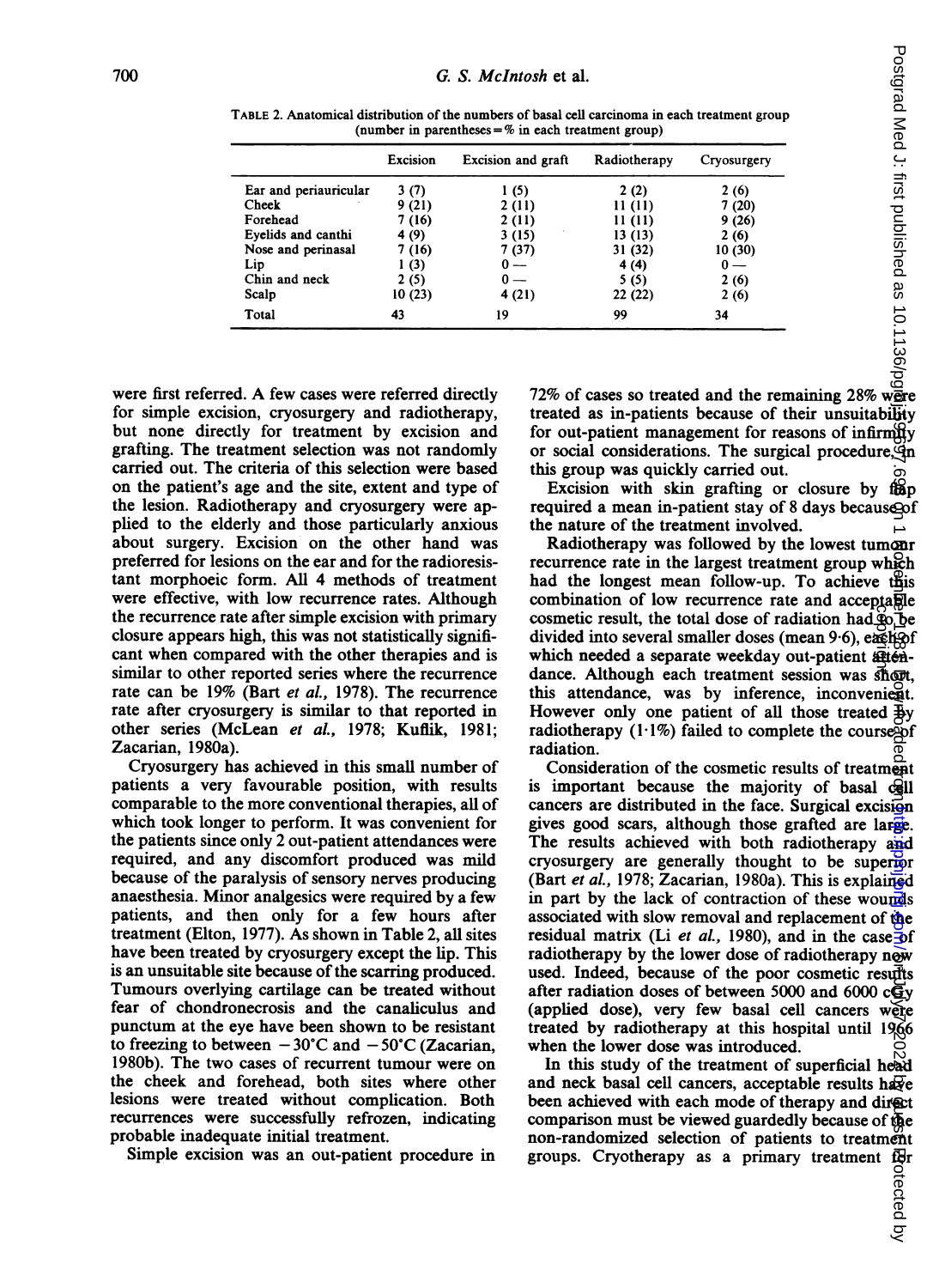| TABLE 2. Anatomical distribution of the numbers of basal cell carcinoma in each treatment group<br>(number in parentheses = $%$ in each treatment group) |                 |                           |              |             |  |
|----------------------------------------------------------------------------------------------------------------------------------------------------------|-----------------|---------------------------|--------------|-------------|--|
|                                                                                                                                                          | <b>Excision</b> | <b>Excision and graft</b> | Radiotherapy | Cryosurgery |  |
| Ear and periauricular                                                                                                                                    | 3(7)            | 1(5)                      | 2(2)         | 2(6)        |  |
| Cheek                                                                                                                                                    | 9(21)           | 2(11)                     | 11(11)       | 7(20)       |  |
| Forehead                                                                                                                                                 | 7 (16)          | 2(11)                     | 11(11)       | 9(26)       |  |
| Eyelids and canthi                                                                                                                                       | 4 (9)           | 3(15)                     | 13(13)       | 2(6)        |  |
| Nose and perinasal                                                                                                                                       | 7 (16)          | 7 (37)                    | 31 (32)      | 10(30)      |  |
| Lip                                                                                                                                                      | 1(3)            |                           | 4 (4)        | $0 -$       |  |
| Chin and neck                                                                                                                                            | 2(5)            |                           | 5(5)         | 2(6)        |  |
| Scalp                                                                                                                                                    | 10(23)          | 4(21)                     | 22(22)       | 2(6)        |  |
| Total                                                                                                                                                    | 43              | 19                        | 99           | 34          |  |

TABLE 2. Anatomical distribution of the numbers of basal cell carcinoma in each treatment group (number in parentheses  $=$  % in each treatment group)

were first referred. A few cases were referred directly for simple excision, cryosurgery and radiotherapy, but none directly for treatment by excision and grafting. The treatment selection was not randomly carried out. The criteria of this selection were based on the patient's age and the site, extent and type of the lesion. Radiotherapy and cryosurgery were applied to the elderly and those particularly anxious about surgery. Excision on the other hand was preferred for lesions on the ear and for the radioresistant morphoeic form. All 4 methods of treatment were effective, with low recurrence rates. Although the recurrence rate after simple excision with primary closure appears high, this was not statistically significant when compared with the other therapies and is similar to other reported series where the recurrence rate can be 19% (Bart et al., 1978). The recurrence rate after cryosurgery is similar to that reported in other series (McLean et al., 1978; Kuflik, 1981; Zacarian, 1980a).

Cryosurgery has achieved in this small number of patients a very favourable position, with results comparable to the more conventional therapies, all of which took longer to perform. It was convenient for the patients since only 2 out-patient attendances were required, and any discomfort produced was mild because of the paralysis of sensory nerves producing anaesthesia. Minor analgesics were required by a few patients, and then only for a few hours after treatment (Elton, 1977). As shown in Table 2, all sites have been treated by cryosurgery except the lip. This is an unsuitable site because of the scarring produced. Tumours overlying cartilage can be treated without fear of chondronecrosis and the canaliculus and punctum at the eye have been shown to be resistant to freezing to between  $-30^{\circ}$ C and  $-50^{\circ}$ C (Zacarian, 1980b). The two cases of recurrent tumour were on the cheek and forehead, both sites where other lesions were treated without complication. Both recurrences were successfully refrozen, indicating probable inadequate initial treatment.

Simple excision was an out-patient procedure in

treated as in-patients because of their unsuitability for out-patient management for reasons of infirmity or social considerations. The surgical procedure,  $\phi$ n this group was quickly carried out.

Excision with skin grafting or closure by flap required a mean in-patient stay of 8 days because of the nature of the treatment involved.

Radiotherapy was followed by the lowest tumour recurrence rate in the largest treatment group which had the longest mean follow-up. To achieve this combination of low recurrence rate and acceptable cosmetic result, the total dose of radiation had  $\phi$  be divided into several smaller doses (mean 9.6), each of which needed a separate weekday out-patient attendance. Although each treatment session was short, this attendance, was by inference, inconvenient. However only one patient of all those treated  $\frac{1}{2}y$ radiotherapy  $(1.1\%)$  failed to complete the course of radiation.

Consideration of the cosmetic results of treatment is important because the majority of basal cell cancers are distributed in the face. Surgical excision gives good scars, although those grafted are large. The results achieved with both radiotherapy and cryosurgery are generally thought to be superior (Bart et al., 1978; Zacarian, 1980a). This is explained in part by the lack of contraction of these wounds associated with slow removal and replacement of the residual matrix (Li et al., 1980), and in the case of radiotherapy by the lower dose of radiotherapy now used. Indeed, because of the poor cosmetic results after radiation doses of between 5000 and 6000 cGy (applied dose), very few basal cell cancers were treated by radiotherapy at this hospital until 1966 when the lower dose was introduced. bythe tail.<br>
Cryotherapy cryotherapy  $\frac{1}{2}$  contracts and the streatment from  $\frac{1}{2}$  control and the streated by  $\frac{1}{2}$  ( $\frac{1}{2}$  ( $\frac{1}{2}$ )  $\frac{1}{2}$  ( $\frac{1}{2}$ )  $\frac{1}{2}$  ( $\frac{1}{2}$ )  $\frac{1}{2}$  ( $\frac{1}{2}$ )  $\$ 

In this study of the treatment of superficial head and neck basal cell cancers, acceptable results have been achieved with each mode of therapy and direct comparison must be viewed guardedly because of the non-randomized selection of patients to treatment for groups. Cryotherapy as a primary treatment for